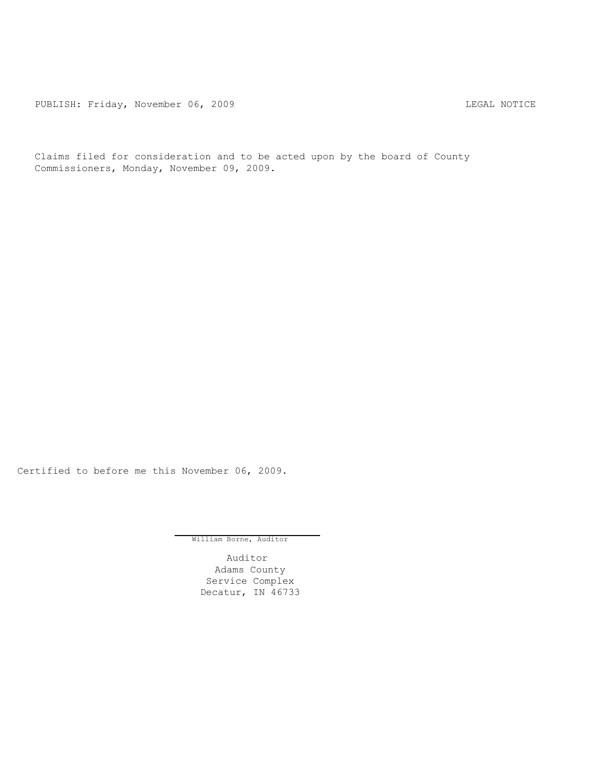PUBLISH: Friday, November 06, 2009 COME CONTROL CONTROLLER MOTICE

Claims filed for consideration and to be acted upon by the board of County Commissioners, Monday, November 09, 2009.

Certified to before me this November 06, 2009.

William Borne, Auditor

Auditor Adams County Service Complex Decatur, IN 46733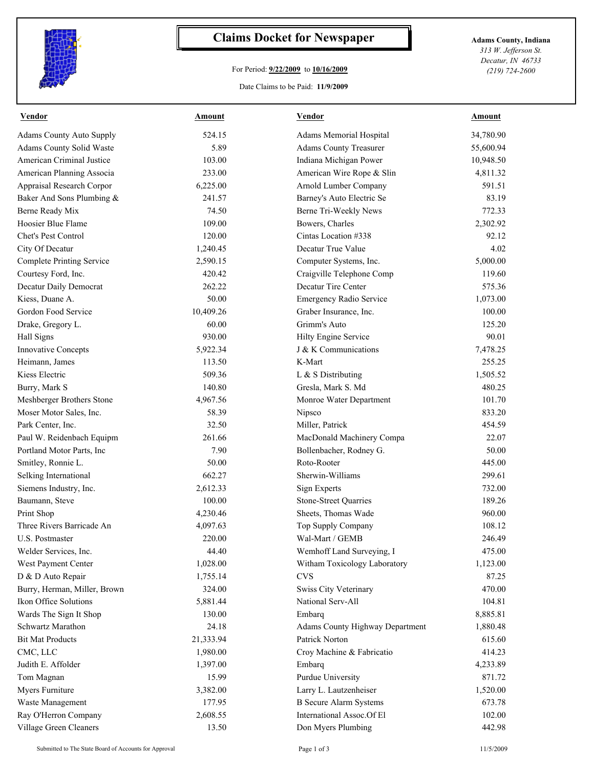

## **Claims Docket for Newspaper Adams County, Indiana**

## For Period: **9/22/2009** to **10/16/2009**

*313 W. Jefferson St. Decatur, IN 46733 (219) 724-2600*

## Date Claims to be Paid: **11/9/2009**

| <b>Vendor</b>                | Amount    | <b>Vendor</b>                   | <b>Amount</b> |
|------------------------------|-----------|---------------------------------|---------------|
| Adams County Auto Supply     | 524.15    | Adams Memorial Hospital         | 34,780.90     |
| Adams County Solid Waste     | 5.89      | <b>Adams County Treasurer</b>   | 55,600.94     |
| American Criminal Justice    | 103.00    | Indiana Michigan Power          | 10,948.50     |
| American Planning Associa    | 233.00    | American Wire Rope & Slin       | 4,811.32      |
| Appraisal Research Corpor    | 6,225.00  | Arnold Lumber Company           | 591.51        |
| Baker And Sons Plumbing &    | 241.57    | Barney's Auto Electric Se       | 83.19         |
| Berne Ready Mix              | 74.50     | Berne Tri-Weekly News           | 772.33        |
| Hoosier Blue Flame           | 109.00    | Bowers, Charles                 | 2,302.92      |
| Chet's Pest Control          | 120.00    | Cintas Location #338            | 92.12         |
| City Of Decatur              | 1,240.45  | Decatur True Value              | 4.02          |
| Complete Printing Service    | 2,590.15  | Computer Systems, Inc.          | 5,000.00      |
| Courtesy Ford, Inc.          | 420.42    | Craigville Telephone Comp       | 119.60        |
| Decatur Daily Democrat       | 262.22    | Decatur Tire Center             | 575.36        |
| Kiess, Duane A.              | 50.00     | Emergency Radio Service         | 1,073.00      |
| Gordon Food Service          | 10,409.26 | Graber Insurance, Inc.          | 100.00        |
| Drake, Gregory L.            | 60.00     | Grimm's Auto                    | 125.20        |
| Hall Signs                   | 930.00    | Hilty Engine Service            | 90.01         |
| Innovative Concepts          | 5,922.34  | J & K Communications            | 7,478.25      |
| Heimann, James               | 113.50    | K-Mart                          | 255.25        |
| Kiess Electric               | 509.36    | L & S Distributing              | 1,505.52      |
| Burry, Mark S                | 140.80    | Gresla, Mark S. Md              | 480.25        |
| Meshberger Brothers Stone    | 4,967.56  | Monroe Water Department         | 101.70        |
| Moser Motor Sales, Inc.      | 58.39     | Nipsco                          | 833.20        |
| Park Center, Inc.            | 32.50     | Miller, Patrick                 | 454.59        |
| Paul W. Reidenbach Equipm    | 261.66    | MacDonald Machinery Compa       | 22.07         |
| Portland Motor Parts, Inc.   | 7.90      | Bollenbacher, Rodney G.         | 50.00         |
| Smitley, Ronnie L.           | 50.00     | Roto-Rooter                     | 445.00        |
| Selking International        | 662.27    | Sherwin-Williams                | 299.61        |
| Siemens Industry, Inc.       | 2,612.33  | <b>Sign Experts</b>             | 732.00        |
| Baumann, Steve               | 100.00    | <b>Stone-Street Quarries</b>    | 189.26        |
| Print Shop                   | 4,230.46  | Sheets, Thomas Wade             | 960.00        |
| Three Rivers Barricade An    | 4,097.63  | Top Supply Company              | 108.12        |
| U.S. Postmaster              | 220.00    | Wal-Mart / GEMB                 | 246.49        |
| Welder Services, Inc.        | 44.40     | Wemhoff Land Surveying, I       | 475.00        |
| West Payment Center          | 1,028.00  | Witham Toxicology Laboratory    | 1,123.00      |
| D & D Auto Repair            | 1,755.14  | <b>CVS</b>                      | 87.25         |
| Burry, Herman, Miller, Brown | 324.00    | Swiss City Veterinary           | 470.00        |
| Ikon Office Solutions        | 5,881.44  | National Serv-All               | 104.81        |
| Wards The Sign It Shop       | 130.00    | Embarq                          | 8,885.81      |
| Schwartz Marathon            | 24.18     | Adams County Highway Department | 1,880.48      |
| <b>Bit Mat Products</b>      | 21,333.94 | Patrick Norton                  | 615.60        |
| CMC, LLC                     | 1,980.00  | Croy Machine & Fabricatio       | 414.23        |
| Judith E. Affolder           | 1,397.00  | Embarq                          | 4,233.89      |
| Tom Magnan                   | 15.99     | Purdue University               | 871.72        |
| Myers Furniture              | 3,382.00  | Larry L. Lautzenheiser          | 1,520.00      |
| Waste Management             | 177.95    | <b>B</b> Secure Alarm Systems   | 673.78        |
| Ray O'Herron Company         | 2,608.55  | International Assoc.Of El       | 102.00        |
| Village Green Cleaners       | 13.50     | Don Myers Plumbing              | 442.98        |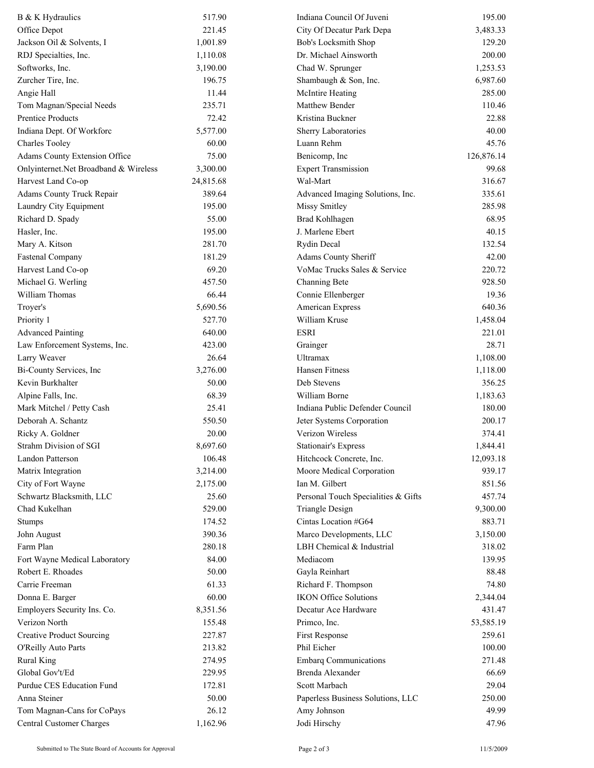| B & K Hydraulics                                | 517.90    | Indiana Council Of Juveni           | 195.00     |
|-------------------------------------------------|-----------|-------------------------------------|------------|
| Office Depot                                    | 221.45    | City Of Decatur Park Depa           | 3,483.33   |
| Jackson Oil & Solvents, I                       | 1,001.89  | Bob's Locksmith Shop                | 129.20     |
| RDJ Specialties, Inc.                           | 1,110.08  | Dr. Michael Ainsworth               | 200.00     |
| Softworks, Inc.                                 | 3,190.00  | Chad W. Sprunger                    | 1,253.53   |
| Zurcher Tire, Inc.                              | 196.75    | Shambaugh & Son, Inc.               | 6,987.60   |
| Angie Hall                                      | 11.44     | McIntire Heating                    | 285.00     |
| Tom Magnan/Special Needs                        | 235.71    | Matthew Bender                      | 110.46     |
| <b>Prentice Products</b>                        | 72.42     | Kristina Buckner                    | 22.88      |
| Indiana Dept. Of Workforc                       | 5,577.00  | Sherry Laboratories                 | 40.00      |
| <b>Charles Tooley</b>                           | 60.00     | Luann Rehm                          | 45.76      |
| Adams County Extension Office                   | 75.00     | Benicomp, Inc                       | 126,876.14 |
| Onlyinternet.Net Broadband & Wireless           | 3,300.00  | <b>Expert Transmission</b>          | 99.68      |
| Harvest Land Co-op                              | 24,815.68 | Wal-Mart                            | 316.67     |
| Adams County Truck Repair                       | 389.64    | Advanced Imaging Solutions, Inc.    | 335.61     |
| Laundry City Equipment                          | 195.00    | Missy Smitley                       | 285.98     |
| Richard D. Spady                                | 55.00     | <b>Brad Kohlhagen</b>               | 68.95      |
| Hasler, Inc.                                    | 195.00    | J. Marlene Ebert                    | 40.15      |
| Mary A. Kitson                                  | 281.70    | Rydin Decal                         | 132.54     |
| <b>Fastenal Company</b>                         | 181.29    | Adams County Sheriff                | 42.00      |
| Harvest Land Co-op                              | 69.20     | VoMac Trucks Sales & Service        | 220.72     |
| Michael G. Werling                              | 457.50    | Channing Bete                       | 928.50     |
| William Thomas                                  | 66.44     | Connie Ellenberger                  | 19.36      |
| Troyer's                                        | 5,690.56  | American Express                    | 640.36     |
| Priority 1                                      | 527.70    | William Kruse                       | 1,458.04   |
| <b>Advanced Painting</b>                        | 640.00    | <b>ESRI</b>                         | 221.01     |
| Law Enforcement Systems, Inc.                   | 423.00    | Grainger                            | 28.71      |
|                                                 | 26.64     | <b>Ultramax</b>                     | 1,108.00   |
| Larry Weaver<br>Bi-County Services, Inc         | 3,276.00  | Hansen Fitness                      | 1,118.00   |
| Kevin Burkhalter                                | 50.00     | Deb Stevens                         | 356.25     |
|                                                 |           |                                     |            |
| Alpine Falls, Inc.                              | 68.39     | William Borne                       | 1,183.63   |
| Mark Mitchel / Petty Cash<br>Deborah A. Schantz | 25.41     | Indiana Public Defender Council     | 180.00     |
|                                                 | 550.50    | Jeter Systems Corporation           | 200.17     |
| Ricky A. Goldner                                | 20.00     | Verizon Wireless                    | 374.41     |
| Strahm Division of SGI                          | 8,697.60  | Stationair's Express                | 1,844.41   |
| Landon Patterson                                | 106.48    | Hitchcock Concrete, Inc.            | 12,093.18  |
| Matrix Integration                              | 3,214.00  | Moore Medical Corporation           | 939.17     |
| City of Fort Wayne                              | 2,175.00  | Ian M. Gilbert                      | 851.56     |
| Schwartz Blacksmith, LLC                        | 25.60     | Personal Touch Specialities & Gifts | 457.74     |
| Chad Kukelhan                                   | 529.00    | <b>Triangle Design</b>              | 9,300.00   |
| <b>Stumps</b>                                   | 174.52    | Cintas Location #G64                | 883.71     |
| John August                                     | 390.36    | Marco Developments, LLC             | 3,150.00   |
| Farm Plan                                       | 280.18    | LBH Chemical & Industrial           | 318.02     |
| Fort Wayne Medical Laboratory                   | 84.00     | Mediacom                            | 139.95     |
| Robert E. Rhoades                               | 50.00     | Gayla Reinhart                      | 88.48      |
| Carrie Freeman                                  | 61.33     | Richard F. Thompson                 | 74.80      |
| Donna E. Barger                                 | 60.00     | <b>IKON Office Solutions</b>        | 2,344.04   |
| Employers Security Ins. Co.                     | 8,351.56  | Decatur Ace Hardware                | 431.47     |
| Verizon North                                   | 155.48    | Primco, Inc.                        | 53,585.19  |
| <b>Creative Product Sourcing</b>                | 227.87    | First Response                      | 259.61     |
| O'Reilly Auto Parts                             | 213.82    | Phil Eicher                         | 100.00     |
| <b>Rural King</b>                               | 274.95    | <b>Embarq Communications</b>        | 271.48     |
| Global Gov't/Ed                                 | 229.95    | Brenda Alexander                    | 66.69      |
| Purdue CES Education Fund                       | 172.81    | Scott Marbach                       | 29.04      |
| Anna Steiner                                    | 50.00     | Paperless Business Solutions, LLC   | 250.00     |
| Tom Magnan-Cans for CoPays                      | 26.12     | Amy Johnson                         | 49.99      |
| <b>Central Customer Charges</b>                 | 1,162.96  | Jodi Hirschy                        | 47.96      |